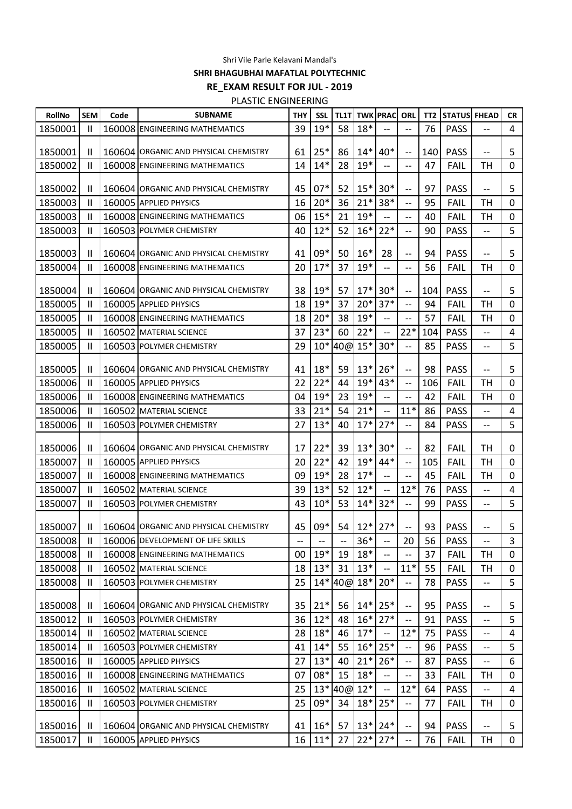Shri Vile Parle Kelavani Mandal's

**SHRI BHAGUBHAI MAFATLAL POLYTECHNIC**

**RE\_EXAM RESULT FOR JUL - 2019**

PLASTIC ENGINEERING

| 76<br>$18*$<br>39<br>$19*$<br>58<br>1850001<br>160008 ENGINEERING MATHEMATICS<br><b>PASS</b><br>$\mathbf{I}$<br>$-$<br>$25*$<br>$14*$<br>$40*$<br>86<br><b>PASS</b><br>1850001<br>$\mathbf{I}$<br>160604 ORGANIC AND PHYSICAL CHEMISTRY<br>61<br>140<br>$\overline{\phantom{m}}$<br>$-$<br>$14*$<br>$19*$<br>1850002<br>160008 ENGINEERING MATHEMATICS<br>14<br>28<br>47<br><b>FAIL</b><br>TH<br>$\mathbf{I}$<br>$-$<br>$-$<br>$07*$<br>52<br>$15*$<br>$30*$<br>45<br>97<br>1850002<br>$\mathbf{I}$<br>160604 ORGANIC AND PHYSICAL CHEMISTRY<br><b>PASS</b><br>$\overline{\phantom{a}}$<br>--<br>$20*$<br>16<br>36<br>$21*$<br>38*<br>1850003<br>160005 APPLIED PHYSICS<br>95<br><b>FAIL</b><br>TH<br>Ш<br>$-$<br>$15*$<br>21<br>$19*$<br>1850003<br>06<br><b>FAIL</b><br>TН<br>$\mathsf{I}$<br>160008 ENGINEERING MATHEMATICS<br>40<br>$\overline{\phantom{m}}$<br>$\hspace{0.05cm}$ $\hspace{0.05cm}$<br>$12*$<br>52<br>$16*$<br>$22*$<br>1850003<br>40<br>90<br><b>PASS</b><br>$\mathsf{I}$<br>160503 POLYMER CHEMISTRY<br>$\overline{\phantom{a}}$<br>$\overline{a}$<br>09*<br>$16*$<br>50<br>28<br>1850003<br>$\mathbf{I}$<br>160604 ORGANIC AND PHYSICAL CHEMISTRY<br>41<br>94<br><b>PASS</b><br>$\overline{\phantom{m}}$<br>$-$<br>160008 ENGINEERING MATHEMATICS<br>$\overline{\phantom{a}}$<br>-- | CR             |    | <b>STATUS FHEAD</b> | TT <sub>2</sub> | <b>ORL</b> | <b>TL1T TWK PRAC</b> |       |    | <b>SSL</b> | THY | <b>SUBNAME</b> | Code | <b>SEM</b>   | <b>RollNo</b> |
|------------------------------------------------------------------------------------------------------------------------------------------------------------------------------------------------------------------------------------------------------------------------------------------------------------------------------------------------------------------------------------------------------------------------------------------------------------------------------------------------------------------------------------------------------------------------------------------------------------------------------------------------------------------------------------------------------------------------------------------------------------------------------------------------------------------------------------------------------------------------------------------------------------------------------------------------------------------------------------------------------------------------------------------------------------------------------------------------------------------------------------------------------------------------------------------------------------------------------------------------------------------------------------------------------------|----------------|----|---------------------|-----------------|------------|----------------------|-------|----|------------|-----|----------------|------|--------------|---------------|
|                                                                                                                                                                                                                                                                                                                                                                                                                                                                                                                                                                                                                                                                                                                                                                                                                                                                                                                                                                                                                                                                                                                                                                                                                                                                                                            | $\overline{4}$ |    |                     |                 |            |                      |       |    |            |     |                |      |              |               |
|                                                                                                                                                                                                                                                                                                                                                                                                                                                                                                                                                                                                                                                                                                                                                                                                                                                                                                                                                                                                                                                                                                                                                                                                                                                                                                            | 5              |    |                     |                 |            |                      |       |    |            |     |                |      |              |               |
|                                                                                                                                                                                                                                                                                                                                                                                                                                                                                                                                                                                                                                                                                                                                                                                                                                                                                                                                                                                                                                                                                                                                                                                                                                                                                                            | 0              |    |                     |                 |            |                      |       |    |            |     |                |      |              |               |
|                                                                                                                                                                                                                                                                                                                                                                                                                                                                                                                                                                                                                                                                                                                                                                                                                                                                                                                                                                                                                                                                                                                                                                                                                                                                                                            |                |    |                     |                 |            |                      |       |    |            |     |                |      |              |               |
|                                                                                                                                                                                                                                                                                                                                                                                                                                                                                                                                                                                                                                                                                                                                                                                                                                                                                                                                                                                                                                                                                                                                                                                                                                                                                                            | 5              |    |                     |                 |            |                      |       |    |            |     |                |      |              |               |
|                                                                                                                                                                                                                                                                                                                                                                                                                                                                                                                                                                                                                                                                                                                                                                                                                                                                                                                                                                                                                                                                                                                                                                                                                                                                                                            | 0              |    |                     |                 |            |                      |       |    |            |     |                |      |              |               |
|                                                                                                                                                                                                                                                                                                                                                                                                                                                                                                                                                                                                                                                                                                                                                                                                                                                                                                                                                                                                                                                                                                                                                                                                                                                                                                            | 0              |    |                     |                 |            |                      |       |    |            |     |                |      |              |               |
|                                                                                                                                                                                                                                                                                                                                                                                                                                                                                                                                                                                                                                                                                                                                                                                                                                                                                                                                                                                                                                                                                                                                                                                                                                                                                                            | 5              |    |                     |                 |            |                      |       |    |            |     |                |      |              |               |
|                                                                                                                                                                                                                                                                                                                                                                                                                                                                                                                                                                                                                                                                                                                                                                                                                                                                                                                                                                                                                                                                                                                                                                                                                                                                                                            | 5              |    |                     |                 |            |                      |       |    |            |     |                |      |              |               |
|                                                                                                                                                                                                                                                                                                                                                                                                                                                                                                                                                                                                                                                                                                                                                                                                                                                                                                                                                                                                                                                                                                                                                                                                                                                                                                            | 0              | TH | <b>FAIL</b>         | 56              |            |                      | $19*$ | 37 | $17*$      | 20  |                |      | $\mathbf{I}$ | 1850004       |
| 38<br>$19*$<br>$17*$<br>$30*$<br>57<br><b>PASS</b><br>1850004<br>Ħ<br>160604 ORGANIC AND PHYSICAL CHEMISTRY<br>104<br>$\overline{\phantom{m}}$                                                                                                                                                                                                                                                                                                                                                                                                                                                                                                                                                                                                                                                                                                                                                                                                                                                                                                                                                                                                                                                                                                                                                             | 5              |    |                     |                 |            |                      |       |    |            |     |                |      |              |               |
| $19*$<br>37<br>$20*$<br>$37*$<br>1850005<br>160005 APPLIED PHYSICS<br>18<br>94<br><b>FAIL</b><br><b>TH</b><br>$\mathbf{I}$<br>$-$                                                                                                                                                                                                                                                                                                                                                                                                                                                                                                                                                                                                                                                                                                                                                                                                                                                                                                                                                                                                                                                                                                                                                                          | 0              |    |                     |                 |            |                      |       |    |            |     |                |      |              |               |
| $19*$<br>18<br>$20*$<br>38<br>57<br>1850005<br>$\mathbf{H}$<br>160008 ENGINEERING MATHEMATICS<br><b>FAIL</b><br>TH<br>$\overline{\phantom{a}}$<br>$-$                                                                                                                                                                                                                                                                                                                                                                                                                                                                                                                                                                                                                                                                                                                                                                                                                                                                                                                                                                                                                                                                                                                                                      | 0              |    |                     |                 |            |                      |       |    |            |     |                |      |              |               |
| 37<br>$23*$<br>60<br>$22*$<br>$22*$<br>1850005<br>104<br><b>PASS</b><br>$\mathsf{I}$<br>160502 MATERIAL SCIENCE<br>$\overline{\phantom{a}}$<br>$\overline{\phantom{m}}$                                                                                                                                                                                                                                                                                                                                                                                                                                                                                                                                                                                                                                                                                                                                                                                                                                                                                                                                                                                                                                                                                                                                    | 4              |    |                     |                 |            |                      |       |    |            |     |                |      |              |               |
| $10*$<br>40@ 15*<br>$30*$<br>1850005<br>29<br>160503 POLYMER CHEMISTRY<br>85<br><b>PASS</b><br>Ш<br>$\overline{\phantom{a}}$<br>--                                                                                                                                                                                                                                                                                                                                                                                                                                                                                                                                                                                                                                                                                                                                                                                                                                                                                                                                                                                                                                                                                                                                                                         | 5              |    |                     |                 |            |                      |       |    |            |     |                |      |              |               |
| $18*$<br>$13*$<br>$26*$<br>59<br>1850005<br>160604 ORGANIC AND PHYSICAL CHEMISTRY<br>41<br>98<br><b>PASS</b><br>Ħ<br>$\overline{\phantom{a}}$<br>--                                                                                                                                                                                                                                                                                                                                                                                                                                                                                                                                                                                                                                                                                                                                                                                                                                                                                                                                                                                                                                                                                                                                                        | 5              |    |                     |                 |            |                      |       |    |            |     |                |      |              |               |
| $22*$<br>$19*$<br>22<br>$43*$<br>1850006<br>$\mathsf{I}$<br>160005 APPLIED PHYSICS<br>44<br>106<br><b>FAIL</b><br>TH<br>$\overline{\phantom{m}}$                                                                                                                                                                                                                                                                                                                                                                                                                                                                                                                                                                                                                                                                                                                                                                                                                                                                                                                                                                                                                                                                                                                                                           | 0              |    |                     |                 |            |                      |       |    |            |     |                |      |              |               |
| $19*$<br>23<br>$19*$<br>1850006<br>FAIL<br>$\mathsf{I}$<br>160008 ENGINEERING MATHEMATICS<br>04<br>42<br>TH<br>$\overline{\phantom{a}}$<br>$\overline{\phantom{a}}$                                                                                                                                                                                                                                                                                                                                                                                                                                                                                                                                                                                                                                                                                                                                                                                                                                                                                                                                                                                                                                                                                                                                        | 0              |    |                     |                 |            |                      |       |    |            |     |                |      |              |               |
| 33<br>$21*$<br>54<br>$21*$<br>$11*$<br>86<br><b>PASS</b><br>1850006<br>Ħ<br>160502 MATERIAL SCIENCE<br>$-$<br>--                                                                                                                                                                                                                                                                                                                                                                                                                                                                                                                                                                                                                                                                                                                                                                                                                                                                                                                                                                                                                                                                                                                                                                                           | 4              |    |                     |                 |            |                      |       |    |            |     |                |      |              |               |
| 27<br>$13*$<br>$17*$<br>$27*$<br>1850006<br>$\mathsf{I}$<br>160503 POLYMER CHEMISTRY<br>40<br>84<br><b>PASS</b><br>$\overline{\phantom{a}}$<br>$-$                                                                                                                                                                                                                                                                                                                                                                                                                                                                                                                                                                                                                                                                                                                                                                                                                                                                                                                                                                                                                                                                                                                                                         | 5              |    |                     |                 |            |                      |       |    |            |     |                |      |              |               |
| $22*$<br>$13*$<br>$30*$<br>17<br>39<br>82<br><b>TH</b><br>1850006<br>$\mathbf{H}$<br>160604 ORGANIC AND PHYSICAL CHEMISTRY<br><b>FAIL</b><br>$-$                                                                                                                                                                                                                                                                                                                                                                                                                                                                                                                                                                                                                                                                                                                                                                                                                                                                                                                                                                                                                                                                                                                                                           | 0              |    |                     |                 |            |                      |       |    |            |     |                |      |              |               |
| $22*$<br>$19*$<br>42<br>44*<br>1850007<br>160005 APPLIED PHYSICS<br>20<br>105<br><b>FAIL</b><br>TH<br>Ш<br>$\overline{\phantom{a}}$                                                                                                                                                                                                                                                                                                                                                                                                                                                                                                                                                                                                                                                                                                                                                                                                                                                                                                                                                                                                                                                                                                                                                                        | 0              |    |                     |                 |            |                      |       |    |            |     |                |      |              |               |
| $17*$<br>$19*$<br>28<br>1850007<br>09<br>45<br><b>FAIL</b><br>TH<br>Ш<br>160008 ENGINEERING MATHEMATICS<br>$--$<br>$-$                                                                                                                                                                                                                                                                                                                                                                                                                                                                                                                                                                                                                                                                                                                                                                                                                                                                                                                                                                                                                                                                                                                                                                                     | 0              |    |                     |                 |            |                      |       |    |            |     |                |      |              |               |
| $13*$<br>52<br>$12*$<br>$12*$<br>1850007<br>160502 MATERIAL SCIENCE<br>39<br>76<br><b>PASS</b><br>$\mathbf{I}$<br>$-$<br>$-$                                                                                                                                                                                                                                                                                                                                                                                                                                                                                                                                                                                                                                                                                                                                                                                                                                                                                                                                                                                                                                                                                                                                                                               | 4              |    |                     |                 |            |                      |       |    |            |     |                |      |              |               |
| $32*$<br>53<br>$14*$<br>99<br>1850007<br>$\mathbf{I}$<br>43<br>$10*$<br><b>PASS</b><br>160503 POLYMER CHEMISTRY<br>$\overline{\phantom{a}}$<br>$-$                                                                                                                                                                                                                                                                                                                                                                                                                                                                                                                                                                                                                                                                                                                                                                                                                                                                                                                                                                                                                                                                                                                                                         | 5              |    |                     |                 |            |                      |       |    |            |     |                |      |              |               |
| 09*<br>$12*$<br>$27*$<br>45<br>54<br>93<br><b>PASS</b><br>1850007<br>$\mathbf{I}$<br>160604 ORGANIC AND PHYSICAL CHEMISTRY<br>$-$                                                                                                                                                                                                                                                                                                                                                                                                                                                                                                                                                                                                                                                                                                                                                                                                                                                                                                                                                                                                                                                                                                                                                                          | 5              |    |                     |                 |            |                      |       |    |            |     |                |      |              |               |
| 1850008<br>$36*$<br>PASS<br>160006 DEVELOPMENT OF LIFE SKILLS<br>20<br>56<br>H.<br>$\overline{\phantom{m}}$<br>$\overline{\phantom{m}}$<br>$\overline{\phantom{a}}$<br>$\overline{\phantom{m}}$<br>$-$                                                                                                                                                                                                                                                                                                                                                                                                                                                                                                                                                                                                                                                                                                                                                                                                                                                                                                                                                                                                                                                                                                     | 3              |    |                     |                 |            |                      |       |    |            |     |                |      |              |               |
| $19*$<br>$18*$<br>19<br>37<br><b>FAIL</b><br>1850008<br>$\mathbf{H}$<br>160008 ENGINEERING MATHEMATICS<br>00<br>TH<br>$\overline{a}$                                                                                                                                                                                                                                                                                                                                                                                                                                                                                                                                                                                                                                                                                                                                                                                                                                                                                                                                                                                                                                                                                                                                                                       | $\mathbf{0}$   |    |                     |                 |            |                      |       |    |            |     |                |      |              |               |
| $13*$<br>$13*$<br>$11*$<br>1850008<br>18<br>31<br>55<br><b>FAIL</b><br>TH<br>Ħ<br>160502 MATERIAL SCIENCE<br>$\overline{\phantom{a}}$                                                                                                                                                                                                                                                                                                                                                                                                                                                                                                                                                                                                                                                                                                                                                                                                                                                                                                                                                                                                                                                                                                                                                                      | 0              |    |                     |                 |            |                      |       |    |            |     |                |      |              |               |
| $14*$<br>40@ 18*<br>$20*$<br>25<br>78<br>1850008<br>160503 POLYMER CHEMISTRY<br><b>PASS</b><br>Ш<br>$\qquad \qquad -$<br>$-$                                                                                                                                                                                                                                                                                                                                                                                                                                                                                                                                                                                                                                                                                                                                                                                                                                                                                                                                                                                                                                                                                                                                                                               | 5              |    |                     |                 |            |                      |       |    |            |     |                |      |              |               |
| $25*$<br>$21*$<br>$14*$<br>35<br>56<br><b>PASS</b><br>1850008<br>160604 ORGANIC AND PHYSICAL CHEMISTRY<br>95<br>$\mathbf{H}$<br>$\qquad \qquad -$<br>$-$                                                                                                                                                                                                                                                                                                                                                                                                                                                                                                                                                                                                                                                                                                                                                                                                                                                                                                                                                                                                                                                                                                                                                   | 5              |    |                     |                 |            |                      |       |    |            |     |                |      |              |               |
| $12*$<br>$16*$<br>$27*$<br>36<br>1850012<br>$\mathbf{I}$<br>160503 POLYMER CHEMISTRY<br>48<br>91<br><b>PASS</b><br>$\overline{\phantom{m}}$<br>$-$                                                                                                                                                                                                                                                                                                                                                                                                                                                                                                                                                                                                                                                                                                                                                                                                                                                                                                                                                                                                                                                                                                                                                         | 5              |    |                     |                 |            |                      |       |    |            |     |                |      |              |               |
| $17*$<br>1850014<br>28<br>$18*$<br>46<br>$12*$<br><b>PASS</b><br>$\mathbf{H}$<br>160502 MATERIAL SCIENCE<br>75<br>$-$                                                                                                                                                                                                                                                                                                                                                                                                                                                                                                                                                                                                                                                                                                                                                                                                                                                                                                                                                                                                                                                                                                                                                                                      | 4              |    |                     |                 |            |                      |       |    |            |     |                |      |              |               |
| $25*$<br>$14*$<br>$16*$<br>96<br><b>PASS</b><br>1850014<br>160503 POLYMER CHEMISTRY<br>41<br>55<br>$\mathbf{H}$<br>$-\, -$<br>$\qquad \qquad -$                                                                                                                                                                                                                                                                                                                                                                                                                                                                                                                                                                                                                                                                                                                                                                                                                                                                                                                                                                                                                                                                                                                                                            | 5              |    |                     |                 |            |                      |       |    |            |     |                |      |              |               |
| 1850016<br>$13*$<br>$21*$<br>$26*$<br>160005 APPLIED PHYSICS<br>27<br>40<br>87<br><b>PASS</b><br>$\mathbf{H}$<br>$\overline{\phantom{m}}$<br>$\overline{\phantom{m}}$                                                                                                                                                                                                                                                                                                                                                                                                                                                                                                                                                                                                                                                                                                                                                                                                                                                                                                                                                                                                                                                                                                                                      | 6              |    |                     |                 |            |                      |       |    |            |     |                |      |              |               |
| 08*<br>15<br>$18*$<br>1850016<br>$\mathbf{H}$<br>160008 ENGINEERING MATHEMATICS<br>07<br>33<br><b>FAIL</b><br>TH<br>$\qquad \qquad -$                                                                                                                                                                                                                                                                                                                                                                                                                                                                                                                                                                                                                                                                                                                                                                                                                                                                                                                                                                                                                                                                                                                                                                      | 0              |    |                     |                 |            |                      |       |    |            |     |                |      |              |               |
| $13*$<br>$12*$<br>1850016<br>160502 MATERIAL SCIENCE<br>25<br>40@<br>$12*$<br><b>PASS</b><br>Ħ<br>64<br>$\overline{\phantom{a}}$<br>$\overline{\phantom{m}}$                                                                                                                                                                                                                                                                                                                                                                                                                                                                                                                                                                                                                                                                                                                                                                                                                                                                                                                                                                                                                                                                                                                                               | 4              |    |                     |                 |            |                      |       |    |            |     |                |      |              |               |
| 09*<br>$25*$<br>25<br>$18*$<br>1850016<br>34<br>77<br><b>FAIL</b><br><b>TH</b><br>$\mathbf{H}$<br>160503 POLYMER CHEMISTRY<br>$\overline{\phantom{m}}$                                                                                                                                                                                                                                                                                                                                                                                                                                                                                                                                                                                                                                                                                                                                                                                                                                                                                                                                                                                                                                                                                                                                                     | $\mathbf{0}$   |    |                     |                 |            |                      |       |    |            |     |                |      |              |               |
| $16*$<br>$13*$<br>$24*$<br>57<br><b>PASS</b><br>1850016<br>160604 ORGANIC AND PHYSICAL CHEMISTRY<br>41<br>94<br>$\mathbf{H}$<br>$\overline{\phantom{a}}$<br>--                                                                                                                                                                                                                                                                                                                                                                                                                                                                                                                                                                                                                                                                                                                                                                                                                                                                                                                                                                                                                                                                                                                                             | 5              |    |                     |                 |            |                      |       |    |            |     |                |      |              |               |
| $11*$<br>$22*$<br>$27*$<br>1850017<br>16<br>27<br>76<br><b>FAIL</b><br>$\mathbf{H}$<br>160005 APPLIED PHYSICS<br>TН<br>$-$                                                                                                                                                                                                                                                                                                                                                                                                                                                                                                                                                                                                                                                                                                                                                                                                                                                                                                                                                                                                                                                                                                                                                                                 | $\mathbf 0$    |    |                     |                 |            |                      |       |    |            |     |                |      |              |               |